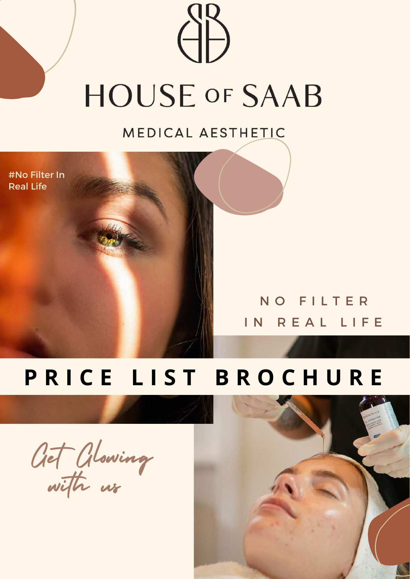# **HOUSE OF SAAB**

MEDICAL AESTHETIC

#No Filter In Real Life

#### N O F I L T E R IN REAL LIFE

#### **P R I C E L I S T B R O C H U R E**

Get Glowing with us

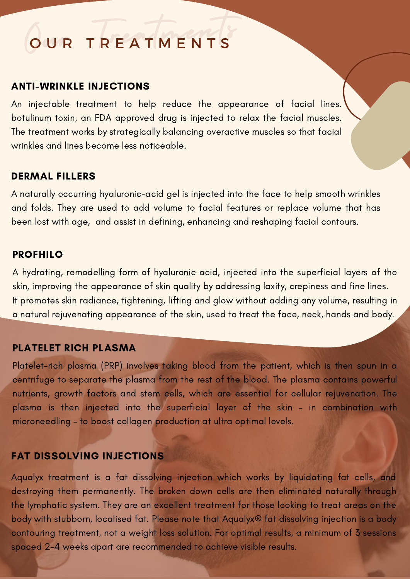## QUR TREATMENTS

#### ANTI-WRINKLE INJECTIONS

An injectable treatment to help reduce the appearance of facial lines. botulinum toxin, an FDA approved drug is injected to relax the facial muscles. The treatment works by strategically balancing overactive muscles so that facial wrinkles and lines become less noticeable.

#### DERMAL FILLERS

A naturally occurring hyaluronic-acid gel is injected into the face to help smooth wrinkles and folds. They are used to add volume to facial features or replace volume that has been lost with age, and assist in defining, enhancing and reshaping facial contours.

#### PROFHILO

A hydrating, remodelling form of hyaluronic acid, injected into the superficial layers of the skin, improving the appearance of skin quality by addressing laxity, crepiness and fine lines. It promotes skin radiance, tightening, lifting and glow without adding any volume, resulting in a natural rejuvenating appearance of the skin, used to treat the face, neck, hands and body.

#### PLATELET RICH PLASMA

Platelet-rich plasma (PRP) involves taking blood from the patient, which is then spun in a centrifuge to separate the plasma from the rest of the blood. The plasma contains powerful nutrients, growth factors and stem cells, which are essential for cellular rejuvenation. The plasma is then injected into the superficial layer of the skin - in combination with microneedling – to boost collagen production at ultra optimal levels.

#### FAT DISSOLVING INJECTIONS

Aqualyx treatment is a fat dissolving injection which works by liquidating fat cells, and destroying them permanently. The broken down cells are then eliminated naturally through the lymphatic system. They are an excellent treatment for those looking to treat areas on the body with stubborn, localised fat. Please note that Aqualyx® fat dissolving injection is a body contouring treatment, not a weight loss solution. For optimal results, a minimum of 3 sessions spaced 2-4 weeks apart are recommended to achieve visible results.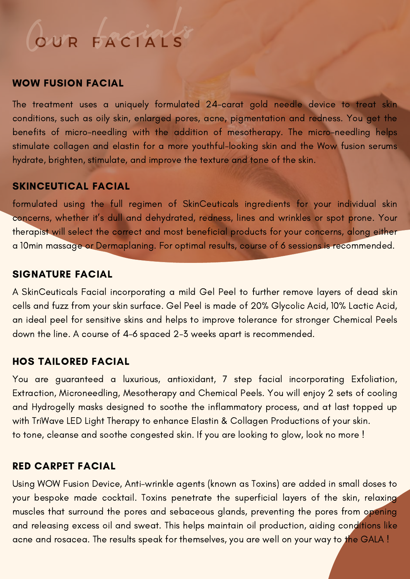#### COUR FACTALS cials

#### WOW FUSION FACIAL

The treatment uses a uniquely formulated 24-carat gold needle device to treat skin conditions, such as oily skin, enlarged pores, acne, pigmentation and redness. You get the benefits of micro-needling with the addition of mesotherapy. The micro-needling helps stimulate collagen and elastin for a more youthful-looking skin and the Wow fusion serums hydrate, brighten, stimulate, and improve the texture and tone of the skin.

#### SKINCEUTICAL FACIAL

formulated using the full regimen of SkinCeuticals ingredients for your individual skin concerns, whether it's dull and dehydrated, redness, lines and wrinkles or spot prone. Your therapist will select the correct and most beneficial products for your concerns, along either a 10min massage or Dermaplaning. For optimal results, course of 6 sessions is recommended.

#### SIGNATURE FACIAL

A SkinCeuticals Facial incorporating a mild Gel Peel to further remove layers of dead skin cells and fuzz from your skin surface. Gel Peel is made of 20% Glycolic Acid, 10% Lactic Acid, an ideal peel for sensitive skins and helps to improve tolerance for stronger Chemical Peels down the line. A course of 4-6 spaced 2-3 weeks apart is recommended.

#### HOS TAILORED FACIAL

You are guaranteed a luxurious, antioxidant, 7 step facial incorporating Exfoliation, Extraction, Microneedling, Mesotherapy and Chemical Peels. You will enjoy 2 sets of cooling and Hydrogelly masks designed to soothe the inflammatory process, and at last topped up with TriWave LED Light Therapy to enhance Elastin & Collagen Productions of your skin. to tone, cleanse and soothe congested skin. If you are looking to glow, look no more !

#### RED CARPET FACIAL

Using WOW Fusion Device, Anti-wrinkle agents (known as Toxins) are added in small doses to your bespoke made cocktail. Toxins penetrate the superficial layers of the skin, relaxing muscles that surround the pores and sebaceous glands, preventing the pores from opening and releasing excess oil and sweat. This helps maintain oil production, aiding conditions like acne and rosacea. The results speak for themselves, you are well on your way to the GALA !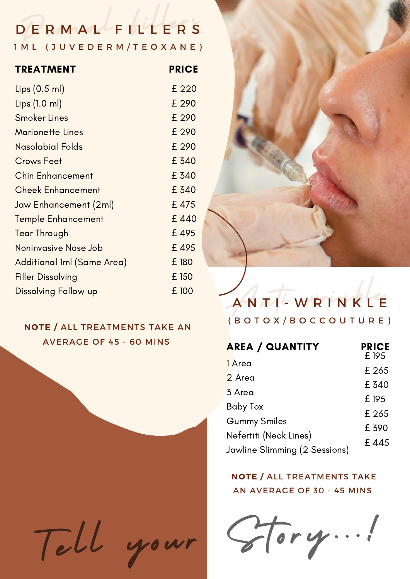## DERMAL<sup>L</sup>FILLERS

1 M L ( J U V E D E R M / T E O X A N E )

| <b>TREATMENT</b>            | <b>PRICE</b> |
|-----------------------------|--------------|
| Lips $(0.5$ ml)             | £ 220        |
| Lips(1.0 ml)                | £ 290        |
| <b>Smoker Lines</b>         | £ 290        |
| <b>Marionette Lines</b>     | £ 290        |
| Nasolabial Folds            | £ 290        |
| <b>Crows Feet</b>           | £ 340        |
| <b>Chin Enhancement</b>     | £ 340        |
| <b>Cheek Enhancement</b>    | £ 340        |
| Jaw Enhancement (2ml)       | £475         |
| <b>Temple Enhancement</b>   | £440         |
| <b>Tear Through</b>         | £495         |
| Noninvasive Nose Job        | £495         |
| Additional Iml (Same Area)  | £ 180        |
| <b>Filler Dissolving</b>    | £ 150        |
| <b>Dissolving Follow up</b> | £ 100        |

#### **NOTE /** ALL TREATMENTS TAKE AN AVERAGE OF 45 - 60 MINS





#### Anti wrinkle A N T I - W R I N K L E ( B O T O X / B O C C O U T U R E )

| <b>AREA / QUANTITY</b>                 | <b>PRICE</b><br>£ 195 |
|----------------------------------------|-----------------------|
| 1 Area                                 | £ 265                 |
| 2 Area                                 | £ 340                 |
| 3 Area                                 | £ 195                 |
| <b>Baby Tox</b><br><b>Gummy Smiles</b> | £ 265                 |
| Nefertiti (Neck Lines)                 | £ 390                 |
| Jawline Slimming (2 Sessions)          | £445                  |
|                                        |                       |

**NOTE /** ALL TREATMENTS TAKE AN AVERAGE OF 30 - 45 MINS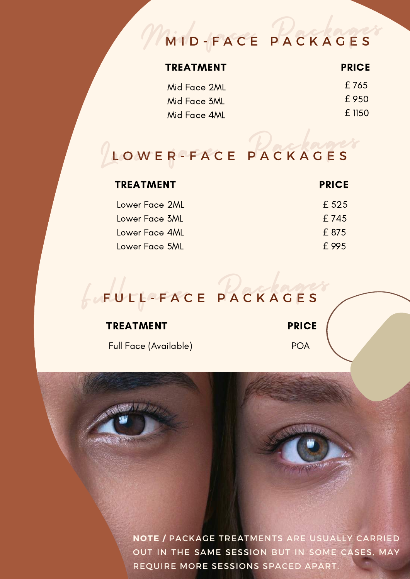## Mild-FACE PACKAGES

| <b>TREATMENT</b> | <b>PRICE</b>  |
|------------------|---------------|
| Mid Face 2ML     | £765          |
| Mid Face 3ML     | £950          |
| Mid Face 4ML     | <b>f</b> 1150 |
|                  |               |

#### $\sqrt{\frac{1}{2}}$ LOWER-FACE PACKAGES

| <b>TREATMENT</b> | <b>PRICE</b> |
|------------------|--------------|
| Lower Face 2ML   | £ 525        |
| Lower Face 3ML   | £745         |
| Lower Face 4ML   | £875         |
| Lower Face 5ML   | f 995        |

#### $f\omega$ F FULFACE PACKAGES

#### TREATMENT

Full Face (Available)

**PRICE** 

POA

**NOTE /** PACKAGE TREATMENTS ARE USUALLY CARRIED OUT IN THE SAME SESSION BUT IN SOME CASES, MAY REQUIRE MORE SESSIONS SPACED APART.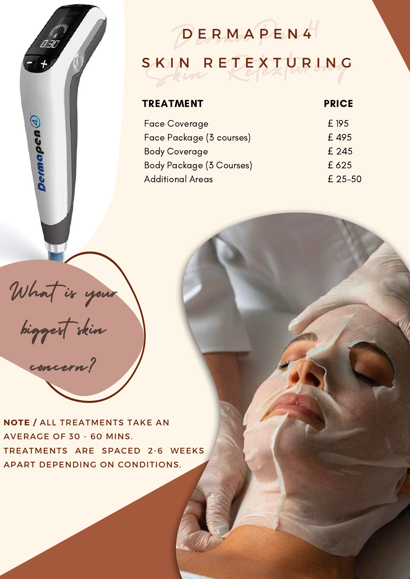#### DERMAPEN4 S K I N R E T E X T U R I N G D E R M A P E N 4

#### TREATMENT

#### **PRICE**

| <b>Face Coverage</b>            | £ 195   |
|---------------------------------|---------|
| Face Package (3 courses)        | £495    |
| <b>Body Coverage</b>            | £ 245   |
| <b>Body Package (3 Courses)</b> | £625    |
| <b>Additional Areas</b>         | £ 25-50 |

What is your

Dermapen $\bigcirc$ 

biggest skin concern?

**NOTE /** ALL TREATMENTS TAKE AN AVERAGE OF 30 - 60 MINS. TREATMENTS ARE SPACED 2-6 WEEKS APART DEPENDING ON CONDITIONS.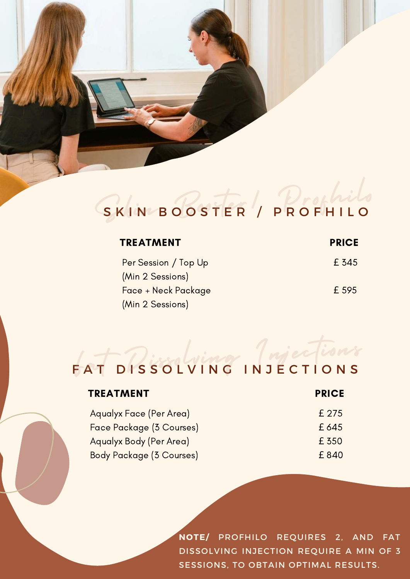#### SK SKINBOOSTER/ PROFHILO

| <b>TREATMENT</b>     | <b>PRICE</b> |
|----------------------|--------------|
| Per Session / Top Up | £ 345        |
| (Min 2 Sessions)     |              |
| Face + Neck Package  | £ 595        |
| (Min 2 Sessions)     |              |

## FAT DISSOLVING INJECTIONS

| <b>TREATMENT</b>                | <b>PRICE</b> |
|---------------------------------|--------------|
| Aqualyx Face (Per Area)         | £ 275        |
| Face Package (3 Courses)        | £645         |
| Aqualyx Body (Per Area)         | £ 350        |
| <b>Body Package (3 Courses)</b> | £840         |

**NOTE/** PROFHILO REQUIRES 2, AND FAT DISSOLVING INJECTION REQUIRE A MIN OF 3 SESSIONS, TO OBTAIN OPTIMAL RESULTS.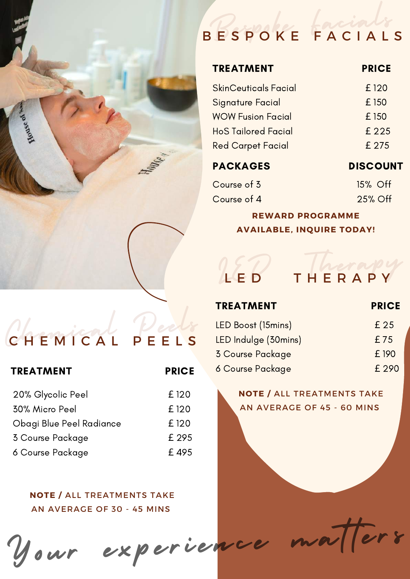

## Bespoke Facials B E S P O K E F A C I A L S

#### TREATMENT

#### **PRICE**

| £120  |
|-------|
| £ 150 |
| £ 150 |
| £ 225 |
| £ 275 |
|       |

#### PACKAGES

DISCOUNT

| Course of 3 | 15% Off |  |
|-------------|---------|--|
| Course of 4 | 25% Off |  |

#### **REWARD PROGRAMME AVAILABLE, INQUIRE TODAY!**

## Chemical Peels C H E M I C A L P E E L S

| <b>TREATMENT</b>         | <b>PRICE</b> |
|--------------------------|--------------|
| 20% Glycolic Peel        | £ 120        |
| 30% Micro Peel           | £ 120        |
| Obagi Blue Peel Radiance | £120         |
| 3 Course Package         | £ 295        |
| 6 Course Package         | £495         |

**NOTE /** ALL TREATMENTS TAKE AN AVERAGE OF 30 - 45 MINS

## LED Therapy L E D T H E R A P Y

#### TREATMENT

#### **PRICE**

| LED Boost (15mins)   | £ 25  |
|----------------------|-------|
| LED Indulge (30mins) | £75   |
| 3 Course Package     | £ 190 |
| 6 Course Package     | £ 290 |

#### **NOTE /** ALL TREATMENTS TAKE AN AVERAGE OF 45 - 60 MINS

## Your experience matters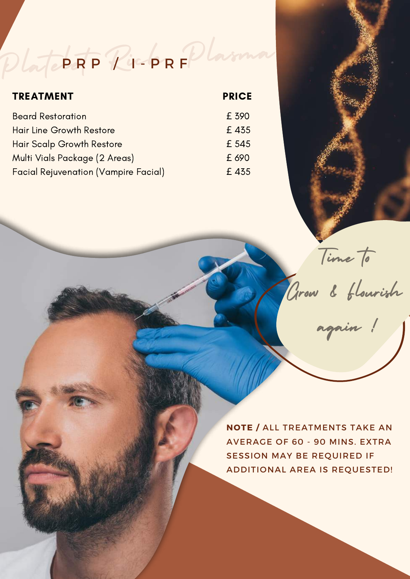PlateRF PiropRFPlasma P R P / 4-P R F

| <b>TREATMENT</b>                            | <b>PRICE</b> |
|---------------------------------------------|--------------|
| <b>Beard Restoration</b>                    | £ 390        |
| <b>Hair Line Growth Restore</b>             | £435         |
| <b>Hair Scalp Growth Restore</b>            | £ 545        |
| Multi Vials Package (2 Areas)               | £ 690        |
| <b>Facial Rejuvenation (Vampire Facial)</b> | £435         |

Time to

Grow & Flourish

again !

**NOTE /** ALL TREATMENTS TAKE AN AVERAGE OF 60 - 90 MINS. EXTRA SESSION MAY BE REQUIRED IF ADDITIONAL AREA IS REQUESTED!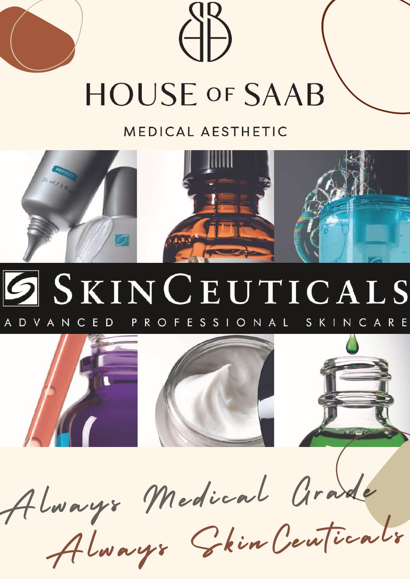# **HOUSE OF SAAB**

#### MEDICAL AESTHETIC



#### SKINCEUTICALS PROFESSIONAL SKINCARE A D V A N C E D





Always Medical Grade

Always Chin Centicals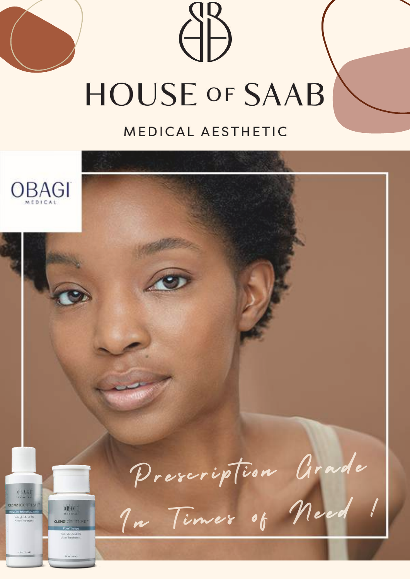